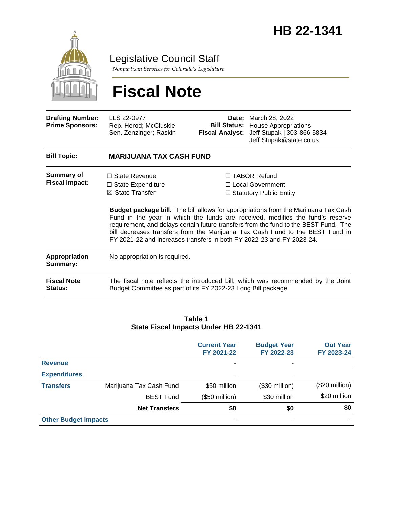

Legislative Council Staff

*Nonpartisan Services for Colorado's Legislature*

# **Fiscal Note**

| <b>Drafting Number:</b><br><b>Prime Sponsors:</b> | LLS 22-0977<br>Rep. Herod; McCluskie<br>Sen. Zenzinger; Raskin                                                                                         | Date:<br><b>Bill Status:</b><br><b>Fiscal Analyst:</b>                                                                                                                                                                                                                                                                                             | March 28, 2022<br><b>House Appropriations</b><br>Jeff Stupak   303-866-5834<br>Jeff.Stupak@state.co.us |  |  |
|---------------------------------------------------|--------------------------------------------------------------------------------------------------------------------------------------------------------|----------------------------------------------------------------------------------------------------------------------------------------------------------------------------------------------------------------------------------------------------------------------------------------------------------------------------------------------------|--------------------------------------------------------------------------------------------------------|--|--|
| <b>Bill Topic:</b>                                | <b>MARIJUANA TAX CASH FUND</b>                                                                                                                         |                                                                                                                                                                                                                                                                                                                                                    |                                                                                                        |  |  |
| <b>Summary of</b><br><b>Fiscal Impact:</b>        | $\Box$ State Revenue<br>$\Box$ State Expenditure<br>$\boxtimes$ State Transfer                                                                         | $\Box$ TABOR Refund<br>□ Local Government<br>$\Box$ Statutory Public Entity<br><b>Budget package bill.</b> The bill allows for appropriations from the Marijuana Tax Cash<br>Fund in the year in which the funds are received, modifies the fund's reserve<br>requirement, and delays certain future transfers from the fund to the BEST Fund. The |                                                                                                        |  |  |
|                                                   | bill decreases transfers from the Marijuana Tax Cash Fund to the BEST Fund in<br>FY 2021-22 and increases transfers in both FY 2022-23 and FY 2023-24. |                                                                                                                                                                                                                                                                                                                                                    |                                                                                                        |  |  |
| Appropriation<br>Summary:                         | No appropriation is required.                                                                                                                          |                                                                                                                                                                                                                                                                                                                                                    |                                                                                                        |  |  |
| <b>Fiscal Note</b><br>Status:                     | The fiscal note reflects the introduced bill, which was recommended by the Joint<br>Budget Committee as part of its FY 2022-23 Long Bill package.      |                                                                                                                                                                                                                                                                                                                                                    |                                                                                                        |  |  |

#### **Table 1 State Fiscal Impacts Under HB 22-1341**

|                             |                         | <b>Current Year</b><br>FY 2021-22 | <b>Budget Year</b><br>FY 2022-23 | <b>Out Year</b><br>FY 2023-24 |
|-----------------------------|-------------------------|-----------------------------------|----------------------------------|-------------------------------|
| <b>Revenue</b>              |                         | ٠                                 | ۰                                |                               |
| <b>Expenditures</b>         |                         | ٠                                 | ٠                                |                               |
| <b>Transfers</b>            | Marijuana Tax Cash Fund | \$50 million                      | $($30$ million)                  | (\$20 million)                |
|                             | <b>BEST Fund</b>        | (\$50 million)                    | \$30 million                     | \$20 million                  |
|                             | <b>Net Transfers</b>    | \$0                               | \$0                              | \$0                           |
| <b>Other Budget Impacts</b> |                         | ٠                                 | ۰                                |                               |